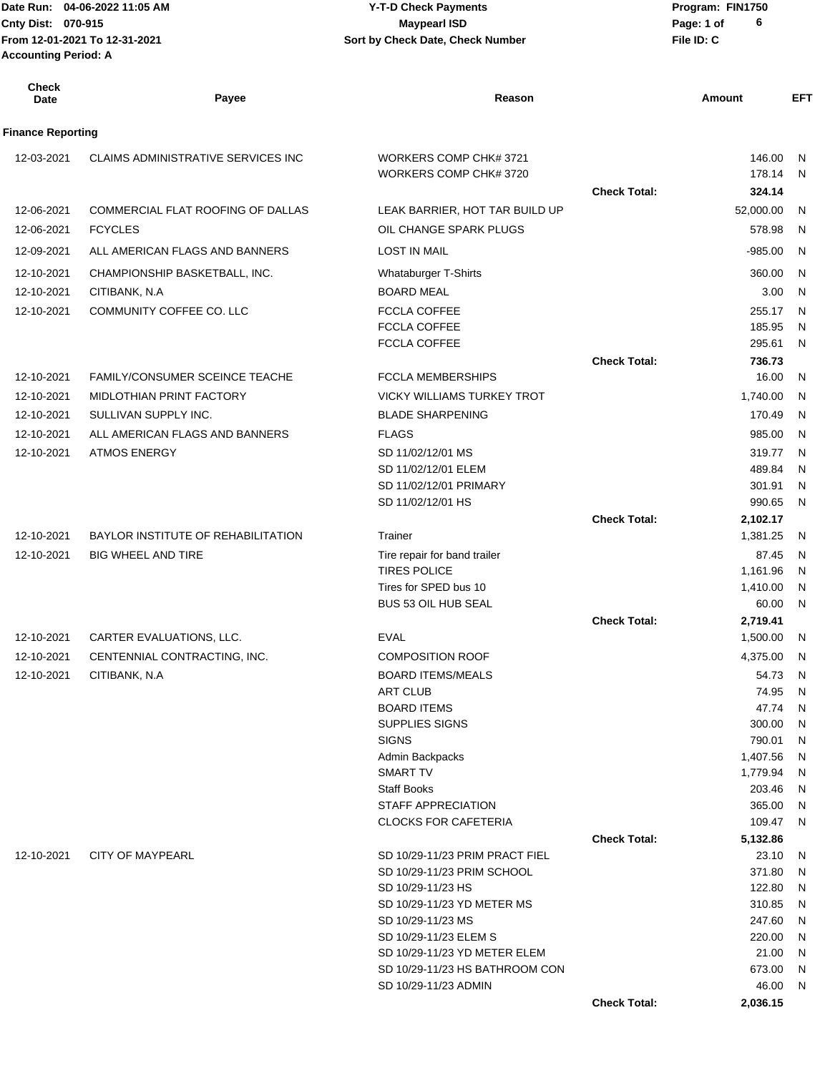Date Run: 04-06-2022 11:05 AM **CONTACT CONSTREY THE STATE OF PROGRAM** Y-T-D Check Payments **CONTACT PROGRAM: FIN1750 Cnty Dist:** 070-915 **Page:** 1 of **From 12-01-2021 To 12-31-2021 File ID: C Sort by Check Date, Check Number 04-06-2022 11:05 AM Y-T-D Check Payments 070-915 Maypearl ISD Accounting Period: A**

| <b>Check</b><br><b>Date</b> | Payee                                     | Reason                                           |                     | Amount               | <b>EFT</b> |
|-----------------------------|-------------------------------------------|--------------------------------------------------|---------------------|----------------------|------------|
| <b>Finance Reporting</b>    |                                           |                                                  |                     |                      |            |
| 12-03-2021                  | CLAIMS ADMINISTRATIVE SERVICES INC        | WORKERS COMP CHK# 3721<br>WORKERS COMP CHK# 3720 |                     | 146.00<br>178.14     | N<br>N     |
|                             |                                           |                                                  | <b>Check Total:</b> | 324.14               |            |
| 12-06-2021                  | COMMERCIAL FLAT ROOFING OF DALLAS         | LEAK BARRIER, HOT TAR BUILD UP                   |                     | 52,000.00            | N          |
| 12-06-2021                  | <b>FCYCLES</b>                            | OIL CHANGE SPARK PLUGS                           |                     | 578.98               | N          |
| 12-09-2021                  | ALL AMERICAN FLAGS AND BANNERS            | <b>LOST IN MAIL</b>                              |                     | $-985.00$            | N          |
| 12-10-2021                  | CHAMPIONSHIP BASKETBALL, INC.             | Whataburger T-Shirts                             |                     | 360.00               | N          |
| 12-10-2021                  | CITIBANK, N.A.                            | <b>BOARD MEAL</b>                                |                     | 3.00                 | N          |
| 12-10-2021                  | COMMUNITY COFFEE CO. LLC                  | <b>FCCLA COFFEE</b>                              |                     | 255.17               | N          |
|                             |                                           | <b>FCCLA COFFEE</b>                              |                     | 185.95               | N          |
|                             |                                           | <b>FCCLA COFFEE</b>                              |                     | 295.61               | N          |
|                             |                                           |                                                  | <b>Check Total:</b> | 736.73               |            |
| 12-10-2021                  | <b>FAMILY/CONSUMER SCEINCE TEACHE</b>     | <b>FCCLA MEMBERSHIPS</b>                         |                     | 16.00                | N          |
| 12-10-2021                  | MIDLOTHIAN PRINT FACTORY                  | <b>VICKY WILLIAMS TURKEY TROT</b>                |                     | 1,740.00             | N          |
| 12-10-2021                  | SULLIVAN SUPPLY INC.                      | <b>BLADE SHARPENING</b>                          |                     | 170.49               | N          |
| 12-10-2021                  | ALL AMERICAN FLAGS AND BANNERS            | <b>FLAGS</b>                                     |                     | 985.00               | N          |
| 12-10-2021                  | <b>ATMOS ENERGY</b>                       | SD 11/02/12/01 MS<br>SD 11/02/12/01 ELEM         |                     | 319.77<br>489.84     | N<br>N     |
|                             |                                           | SD 11/02/12/01 PRIMARY                           |                     | 301.91               | N          |
|                             |                                           | SD 11/02/12/01 HS                                |                     | 990.65               | N          |
|                             |                                           |                                                  | <b>Check Total:</b> | 2,102.17             |            |
| 12-10-2021                  | <b>BAYLOR INSTITUTE OF REHABILITATION</b> | Trainer                                          |                     | 1,381.25             | N          |
| 12-10-2021                  | <b>BIG WHEEL AND TIRE</b>                 | Tire repair for band trailer                     |                     | 87.45                | N          |
|                             |                                           | <b>TIRES POLICE</b>                              |                     | 1,161.96             | N          |
|                             |                                           | Tires for SPED bus 10                            |                     | 1,410.00             | N          |
|                             |                                           | BUS 53 OIL HUB SEAL                              | <b>Check Total:</b> | 60.00<br>2,719.41    | N          |
| 12-10-2021                  | CARTER EVALUATIONS, LLC.                  | <b>EVAL</b>                                      |                     | 1,500.00             | N          |
| 12-10-2021                  | CENTENNIAL CONTRACTING, INC.              | <b>COMPOSITION ROOF</b>                          |                     | 4,375.00             | N          |
| 12-10-2021                  | CITIBANK, N.A.                            | <b>BOARD ITEMS/MEALS</b>                         |                     | 54.73                | N          |
|                             |                                           | ART CLUB                                         |                     | 74.95 N              |            |
|                             |                                           | <b>BOARD ITEMS</b>                               |                     | 47.74                | N          |
|                             |                                           | <b>SUPPLIES SIGNS</b>                            |                     | 300.00               | N          |
|                             |                                           | <b>SIGNS</b>                                     |                     | 790.01               | N          |
|                             |                                           | Admin Backpacks<br><b>SMART TV</b>               |                     | 1,407.56<br>1,779.94 | N<br>N     |
|                             |                                           | <b>Staff Books</b>                               |                     | 203.46               | N          |
|                             |                                           | STAFF APPRECIATION                               |                     | 365.00               | N          |
|                             |                                           | <b>CLOCKS FOR CAFETERIA</b>                      |                     | 109.47               | N          |
|                             |                                           |                                                  | <b>Check Total:</b> | 5,132.86             |            |
| 12-10-2021                  | <b>CITY OF MAYPEARL</b>                   | SD 10/29-11/23 PRIM PRACT FIEL                   |                     | 23.10                | N          |
|                             |                                           | SD 10/29-11/23 PRIM SCHOOL<br>SD 10/29-11/23 HS  |                     | 371.80<br>122.80     | N          |
|                             |                                           | SD 10/29-11/23 YD METER MS                       |                     | 310.85               | N<br>N     |
|                             |                                           | SD 10/29-11/23 MS                                |                     | 247.60               | N          |
|                             |                                           | SD 10/29-11/23 ELEM S                            |                     | 220.00               | N          |
|                             |                                           | SD 10/29-11/23 YD METER ELEM                     |                     | 21.00                | N          |
|                             |                                           | SD 10/29-11/23 HS BATHROOM CON                   |                     | 673.00               | N          |
|                             |                                           | SD 10/29-11/23 ADMIN                             |                     | 46.00                | N          |
|                             |                                           |                                                  | <b>Check Total:</b> | 2,036.15             |            |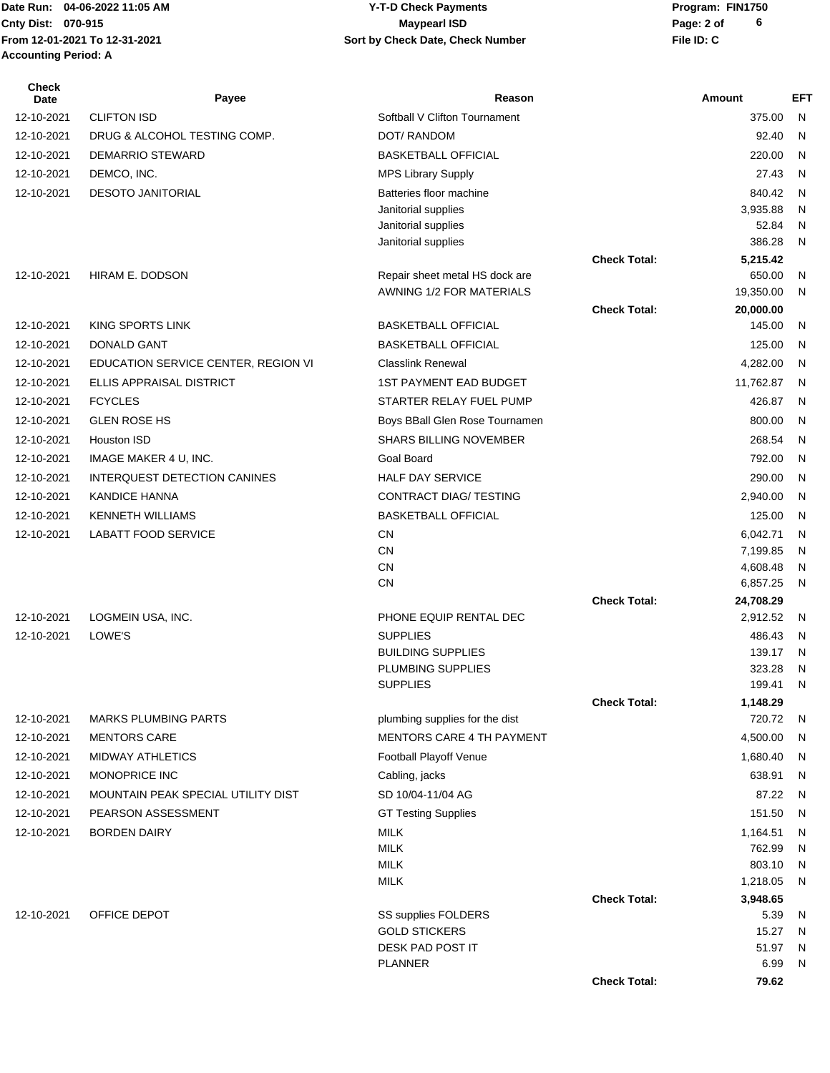Date Run: 04-06-2022 11:05 AM **CONTACT CONSTREY THE STATE OF PROGRAM** Y-T-D Check Payments **CONTACT PROGRAM: FIN1750 Accounting Period: A**

## **Cnty Dist:** 070-915 **Page: 2 of MaypearI ISD MaypearI ISD From 12-01-2021 To 12-31-2021 File ID: C Sort by Check Date, Check Number 04-06-2022 11:05 AM Y-T-D Check Payments 070-915 Maypearl ISD**

| <b>Check</b><br>Date | Payee                               | Reason                                      |                     | Amount               | <b>EFT</b> |
|----------------------|-------------------------------------|---------------------------------------------|---------------------|----------------------|------------|
| 12-10-2021           | <b>CLIFTON ISD</b>                  | Softball V Clifton Tournament               |                     | 375.00               | N          |
| 12-10-2021           | DRUG & ALCOHOL TESTING COMP.        | DOT/ RANDOM                                 |                     | 92.40                | N          |
| 12-10-2021           | DEMARRIO STEWARD                    | <b>BASKETBALL OFFICIAL</b>                  |                     | 220.00               | N          |
| 12-10-2021           | DEMCO, INC.                         | <b>MPS Library Supply</b>                   |                     | 27.43                | N          |
| 12-10-2021           | <b>DESOTO JANITORIAL</b>            | Batteries floor machine                     |                     | 840.42               | N          |
|                      |                                     | Janitorial supplies                         |                     | 3,935.88             | N          |
|                      |                                     | Janitorial supplies                         |                     | 52.84                | N          |
|                      |                                     | Janitorial supplies                         |                     | 386.28               | N          |
| 12-10-2021           | HIRAM E. DODSON                     | Repair sheet metal HS dock are              | <b>Check Total:</b> | 5,215.42<br>650.00   | N          |
|                      |                                     | AWNING 1/2 FOR MATERIALS                    |                     | 19,350.00            | N          |
|                      |                                     |                                             | <b>Check Total:</b> | 20,000.00            |            |
| 12-10-2021           | KING SPORTS LINK                    | <b>BASKETBALL OFFICIAL</b>                  |                     | 145.00               | N          |
| 12-10-2021           | <b>DONALD GANT</b>                  | <b>BASKETBALL OFFICIAL</b>                  |                     | 125.00               | N          |
| 12-10-2021           | EDUCATION SERVICE CENTER, REGION VI | <b>Classlink Renewal</b>                    |                     | 4,282.00             | N          |
| 12-10-2021           | <b>ELLIS APPRAISAL DISTRICT</b>     | <b>1ST PAYMENT EAD BUDGET</b>               |                     | 11,762.87            | N          |
| 12-10-2021           | <b>FCYCLES</b>                      | STARTER RELAY FUEL PUMP                     |                     | 426.87               | N          |
| 12-10-2021           | <b>GLEN ROSE HS</b>                 | Boys BBall Glen Rose Tournamen              |                     | 800.00               | N          |
| 12-10-2021           | <b>Houston ISD</b>                  | <b>SHARS BILLING NOVEMBER</b>               |                     | 268.54               | N          |
| 12-10-2021           | IMAGE MAKER 4 U, INC.               | Goal Board                                  |                     | 792.00               | N          |
| 12-10-2021           | INTERQUEST DETECTION CANINES        | <b>HALF DAY SERVICE</b>                     |                     | 290.00               | N          |
| 12-10-2021           | <b>KANDICE HANNA</b>                | CONTRACT DIAG/ TESTING                      |                     | 2,940.00             | N          |
| 12-10-2021           | <b>KENNETH WILLIAMS</b>             | <b>BASKETBALL OFFICIAL</b>                  |                     | 125.00               | N          |
| 12-10-2021           | <b>LABATT FOOD SERVICE</b>          | <b>CN</b>                                   |                     | 6,042.71             | N          |
|                      |                                     | <b>CN</b>                                   |                     | 7,199.85             | N          |
|                      |                                     | <b>CN</b>                                   |                     | 4,608.48             | N          |
|                      |                                     | <b>CN</b>                                   |                     | 6,857.25             | N          |
| 12-10-2021           |                                     |                                             | <b>Check Total:</b> | 24,708.29            |            |
|                      | LOGMEIN USA, INC.                   | PHONE EQUIP RENTAL DEC                      |                     | 2,912.52             | N          |
| 12-10-2021           | LOWE'S                              | <b>SUPPLIES</b><br><b>BUILDING SUPPLIES</b> |                     | 486.43<br>139.17     | N<br>N     |
|                      |                                     | PLUMBING SUPPLIES                           |                     | 323.28               | N          |
|                      |                                     | <b>SUPPLIES</b>                             |                     | 199.41               | N          |
|                      |                                     |                                             | <b>Check Total:</b> | 1,148.29             |            |
| 12-10-2021           | <b>MARKS PLUMBING PARTS</b>         | plumbing supplies for the dist              |                     | 720.72               | N          |
| 12-10-2021           | <b>MENTORS CARE</b>                 | <b>MENTORS CARE 4 TH PAYMENT</b>            |                     | 4,500.00             | N          |
| 12-10-2021           | <b>MIDWAY ATHLETICS</b>             | Football Playoff Venue                      |                     | 1,680.40             | N          |
| 12-10-2021           | MONOPRICE INC                       | Cabling, jacks                              |                     | 638.91               | N          |
| 12-10-2021           | MOUNTAIN PEAK SPECIAL UTILITY DIST  | SD 10/04-11/04 AG                           |                     | 87.22                | N          |
| 12-10-2021           | PEARSON ASSESSMENT                  | <b>GT Testing Supplies</b>                  |                     | 151.50               | N          |
| 12-10-2021           | <b>BORDEN DAIRY</b>                 | <b>MILK</b>                                 |                     | 1,164.51             | N          |
|                      |                                     | <b>MILK</b>                                 |                     | 762.99               | N          |
|                      |                                     | <b>MILK</b>                                 |                     | 803.10               | N          |
|                      |                                     | <b>MILK</b>                                 | <b>Check Total:</b> | 1,218.05<br>3,948.65 | N          |
| 12-10-2021           | OFFICE DEPOT                        | SS supplies FOLDERS                         |                     | 5.39                 | N          |
|                      |                                     | <b>GOLD STICKERS</b>                        |                     | 15.27                | N          |
|                      |                                     | DESK PAD POST IT                            |                     | 51.97                | N          |
|                      |                                     | <b>PLANNER</b>                              |                     | 6.99                 | N          |
|                      |                                     |                                             | <b>Check Total:</b> | 79.62                |            |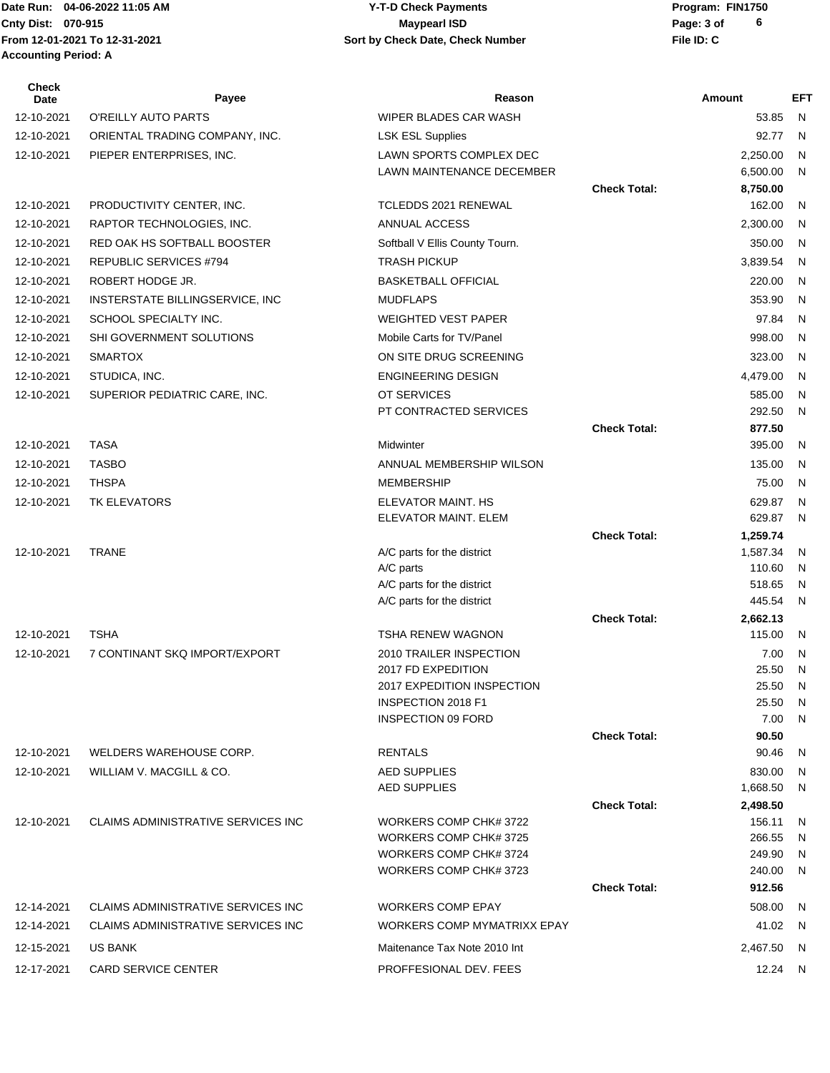**From 12-01-2021 To 12-31-2021 File ID: C Sort by Check Date, Check Number Accounting Period: A**

## Date Run: 04-06-2022 11:05 AM **CONTACT CONSTREY THE STATE OF PROGRAM** Y-T-D Check Payments **CONTACT PROGRAM: FIN1750 Cnty Dist:** 070-915 **Page: 3 of MaypearI ISD MaypearI ISD 04-06-2022 11:05 AM Y-T-D Check Payments 070-915 Maypearl ISD**

| <b>Check</b><br>Date | Payee                                     | Reason                                                   |                     | Amount             | EFT     |
|----------------------|-------------------------------------------|----------------------------------------------------------|---------------------|--------------------|---------|
| 12-10-2021           | O'REILLY AUTO PARTS                       | WIPER BLADES CAR WASH                                    |                     | 53.85              | N       |
| 12-10-2021           | ORIENTAL TRADING COMPANY, INC.            | <b>LSK ESL Supplies</b>                                  |                     | 92.77              | N       |
| 12-10-2021           | PIEPER ENTERPRISES, INC.                  | LAWN SPORTS COMPLEX DEC                                  |                     | 2,250.00           | N       |
|                      |                                           | LAWN MAINTENANCE DECEMBER                                |                     | 6,500.00           | N       |
|                      |                                           |                                                          | <b>Check Total:</b> | 8,750.00           |         |
| 12-10-2021           | PRODUCTIVITY CENTER, INC.                 | TCLEDDS 2021 RENEWAL                                     |                     | 162.00             | N       |
| 12-10-2021           | RAPTOR TECHNOLOGIES, INC.                 | ANNUAL ACCESS                                            |                     | 2,300.00           | N       |
| 12-10-2021           | RED OAK HS SOFTBALL BOOSTER               | Softball V Ellis County Tourn.                           |                     | 350.00             | N       |
| 12-10-2021           | REPUBLIC SERVICES #794                    | <b>TRASH PICKUP</b>                                      |                     | 3,839.54           | N       |
| 12-10-2021           | ROBERT HODGE JR.                          | <b>BASKETBALL OFFICIAL</b>                               |                     | 220.00             | N       |
| 12-10-2021           | INSTERSTATE BILLINGSERVICE, INC           | <b>MUDFLAPS</b>                                          |                     | 353.90             | N       |
| 12-10-2021           | SCHOOL SPECIALTY INC.                     | <b>WEIGHTED VEST PAPER</b>                               |                     | 97.84              | N       |
| 12-10-2021           | SHI GOVERNMENT SOLUTIONS                  | Mobile Carts for TV/Panel                                |                     | 998.00             | N       |
| 12-10-2021           | <b>SMARTOX</b>                            | ON SITE DRUG SCREENING                                   |                     | 323.00             | N       |
| 12-10-2021           | STUDICA, INC.                             | <b>ENGINEERING DESIGN</b>                                |                     | 4,479.00           | N       |
| 12-10-2021           | SUPERIOR PEDIATRIC CARE, INC.             | OT SERVICES                                              |                     | 585.00             | N       |
|                      |                                           | PT CONTRACTED SERVICES                                   |                     | 292.50             | N       |
|                      |                                           |                                                          | <b>Check Total:</b> | 877.50             |         |
| 12-10-2021           | <b>TASA</b>                               | Midwinter                                                |                     | 395.00             | N       |
| 12-10-2021           | <b>TASBO</b>                              | ANNUAL MEMBERSHIP WILSON                                 |                     | 135.00             | N       |
| 12-10-2021           | <b>THSPA</b>                              | <b>MEMBERSHIP</b>                                        |                     | 75.00              | N       |
| 12-10-2021           | TK ELEVATORS                              | ELEVATOR MAINT. HS                                       |                     | 629.87             | N       |
|                      |                                           | ELEVATOR MAINT. ELEM                                     |                     | 629.87             | N       |
|                      |                                           |                                                          | <b>Check Total:</b> | 1,259.74           |         |
| 12-10-2021           | <b>TRANE</b>                              | A/C parts for the district                               |                     | 1,587.34           | N       |
|                      |                                           | A/C parts                                                |                     | 110.60             | N       |
|                      |                                           | A/C parts for the district<br>A/C parts for the district |                     | 518.65<br>445.54   | N<br>N  |
|                      |                                           |                                                          | <b>Check Total:</b> | 2,662.13           |         |
| 12-10-2021           | <b>TSHA</b>                               | <b>TSHA RENEW WAGNON</b>                                 |                     | 115.00             | N       |
| 12-10-2021           | 7 CONTINANT SKQ IMPORT/EXPORT             | 2010 TRAILER INSPECTION                                  |                     | 7.00               | N       |
|                      |                                           | 2017 FD EXPEDITION                                       |                     | 25.50              | N       |
|                      |                                           | 2017 EXPEDITION INSPECTION                               |                     | 25.50              | N.      |
|                      |                                           | INSPECTION 2018 F1                                       |                     | 25.50              | - N     |
|                      |                                           | <b>INSPECTION 09 FORD</b>                                |                     | 7.00               | N       |
|                      |                                           |                                                          | <b>Check Total:</b> | 90.50              |         |
| 12-10-2021           | WELDERS WAREHOUSE CORP.                   | <b>RENTALS</b>                                           |                     | 90.46              | N       |
| 12-10-2021           | WILLIAM V. MACGILL & CO.                  | <b>AED SUPPLIES</b>                                      |                     | 830.00             | N       |
|                      |                                           | AED SUPPLIES                                             |                     | 1,668.50           | N       |
| 12-10-2021           | CLAIMS ADMINISTRATIVE SERVICES INC        | WORKERS COMP CHK# 3722                                   | <b>Check Total:</b> | 2,498.50<br>156.11 |         |
|                      |                                           | WORKERS COMP CHK# 3725                                   |                     | 266.55             | N.<br>N |
|                      |                                           | WORKERS COMP CHK# 3724                                   |                     | 249.90             | N       |
|                      |                                           | WORKERS COMP CHK# 3723                                   |                     | 240.00             | N       |
|                      |                                           |                                                          | <b>Check Total:</b> | 912.56             |         |
| 12-14-2021           | <b>CLAIMS ADMINISTRATIVE SERVICES INC</b> | <b>WORKERS COMP EPAY</b>                                 |                     | 508.00             | N       |
| 12-14-2021           | CLAIMS ADMINISTRATIVE SERVICES INC        | WORKERS COMP MYMATRIXX EPAY                              |                     | 41.02              | N.      |
| 12-15-2021           | US BANK                                   | Maitenance Tax Note 2010 Int                             |                     | 2,467.50           | -N      |
| 12-17-2021           | CARD SERVICE CENTER                       | PROFFESIONAL DEV. FEES                                   |                     | 12.24 N            |         |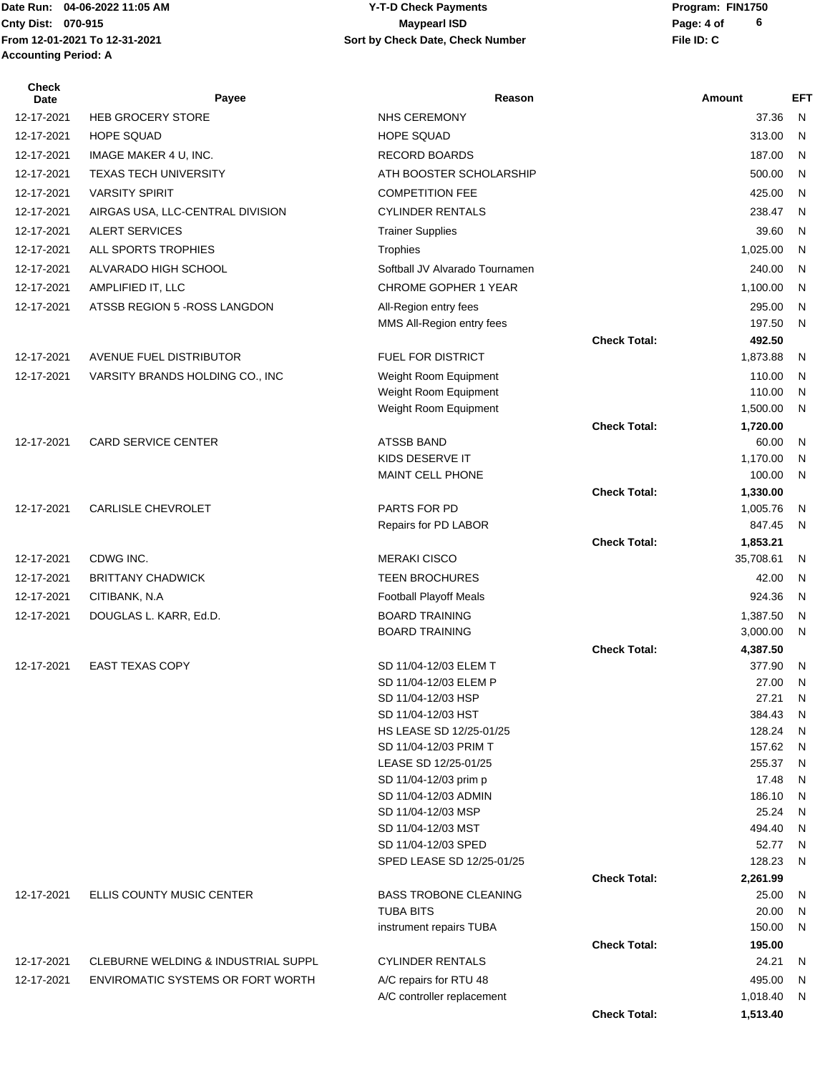**From 12-01-2021 To 12-31-2021 File ID: C Sort by Check Date, Check Number Accounting Period: A**

## Date Run: 04-06-2022 11:05 AM **CONTACT CONSTREY THE STATE OF PROGRAM** Y-T-D Check Payments **CONTACT PROGRAM: FIN1750 Cnty Dist:** 070-915 **Page: 4 of MaypearI ISD MaypearI ISD 04-06-2022 11:05 AM Y-T-D Check Payments 070-915 Maypearl ISD**

| Check<br>Date | Payee                               | Reason                                        |                     | Amount               | <b>EFT</b> |
|---------------|-------------------------------------|-----------------------------------------------|---------------------|----------------------|------------|
| 12-17-2021    | <b>HEB GROCERY STORE</b>            | NHS CEREMONY                                  |                     | 37.36                | N          |
| 12-17-2021    | <b>HOPE SQUAD</b>                   | <b>HOPE SQUAD</b>                             |                     | 313.00               | N          |
| 12-17-2021    | IMAGE MAKER 4 U, INC.               | <b>RECORD BOARDS</b>                          |                     | 187.00               | N          |
| 12-17-2021    | <b>TEXAS TECH UNIVERSITY</b>        | ATH BOOSTER SCHOLARSHIP                       |                     | 500.00               | N          |
| 12-17-2021    | <b>VARSITY SPIRIT</b>               | <b>COMPETITION FEE</b>                        |                     | 425.00               | N          |
| 12-17-2021    | AIRGAS USA, LLC-CENTRAL DIVISION    | <b>CYLINDER RENTALS</b>                       |                     | 238.47               | N          |
| 12-17-2021    | ALERT SERVICES                      | <b>Trainer Supplies</b>                       |                     | 39.60                | N          |
| 12-17-2021    | ALL SPORTS TROPHIES                 | Trophies                                      |                     | 1,025.00             | N          |
| 12-17-2021    | ALVARADO HIGH SCHOOL                | Softball JV Alvarado Tournamen                |                     | 240.00               | N          |
| 12-17-2021    | AMPLIFIED IT, LLC                   | CHROME GOPHER 1 YEAR                          |                     | 1,100.00             | N          |
| 12-17-2021    | ATSSB REGION 5 - ROSS LANGDON       | All-Region entry fees                         |                     | 295.00               | N          |
|               |                                     | MMS All-Region entry fees                     |                     | 197.50               | N          |
|               |                                     |                                               | <b>Check Total:</b> | 492.50               |            |
| 12-17-2021    | AVENUE FUEL DISTRIBUTOR             | FUEL FOR DISTRICT                             |                     | 1,873.88             | N          |
| 12-17-2021    | VARSITY BRANDS HOLDING CO., INC     | Weight Room Equipment                         |                     | 110.00               | N          |
|               |                                     | Weight Room Equipment                         |                     | 110.00               | N          |
|               |                                     | Weight Room Equipment                         |                     | 1,500.00             | N          |
| 12-17-2021    | <b>CARD SERVICE CENTER</b>          | <b>ATSSB BAND</b>                             | <b>Check Total:</b> | 1,720.00<br>60.00    | N          |
|               |                                     | KIDS DESERVE IT                               |                     | 1,170.00             | N          |
|               |                                     | MAINT CELL PHONE                              |                     | 100.00               | N          |
|               |                                     |                                               | <b>Check Total:</b> | 1,330.00             |            |
| 12-17-2021    | <b>CARLISLE CHEVROLET</b>           | PARTS FOR PD                                  |                     | 1,005.76             | N          |
|               |                                     | Repairs for PD LABOR                          |                     | 847.45               | N          |
|               |                                     |                                               | <b>Check Total:</b> | 1,853.21             |            |
| 12-17-2021    | CDWG INC.                           | <b>MERAKI CISCO</b>                           |                     | 35,708.61            | N          |
| 12-17-2021    | <b>BRITTANY CHADWICK</b>            | <b>TEEN BROCHURES</b>                         |                     | 42.00                | N          |
| 12-17-2021    | CITIBANK, N.A.                      | <b>Football Playoff Meals</b>                 |                     | 924.36               | N          |
| 12-17-2021    | DOUGLAS L. KARR, Ed.D.              | <b>BOARD TRAINING</b>                         |                     | 1,387.50             | N          |
|               |                                     | <b>BOARD TRAINING</b>                         | <b>Check Total:</b> | 3,000.00<br>4,387.50 | N          |
| 12-17-2021    | <b>EAST TEXAS COPY</b>              | SD 11/04-12/03 ELEM T                         |                     | 377.90               | N          |
|               |                                     | SD 11/04-12/03 ELEM P                         |                     | 27.00                | N          |
|               |                                     | SD 11/04-12/03 HSP                            |                     | 27.21                | N          |
|               |                                     | SD 11/04-12/03 HST                            |                     | 384.43               | N          |
|               |                                     | HS LEASE SD 12/25-01/25                       |                     | 128.24               | N          |
|               |                                     | SD 11/04-12/03 PRIM T<br>LEASE SD 12/25-01/25 |                     | 157.62<br>255.37     | N<br>N     |
|               |                                     | SD 11/04-12/03 prim p                         |                     | 17.48                | N          |
|               |                                     | SD 11/04-12/03 ADMIN                          |                     | 186.10               | N          |
|               |                                     | SD 11/04-12/03 MSP                            |                     | 25.24                | N          |
|               |                                     | SD 11/04-12/03 MST                            |                     | 494.40               | N          |
|               |                                     | SD 11/04-12/03 SPED                           |                     | 52.77                | N          |
|               |                                     | SPED LEASE SD 12/25-01/25                     |                     | 128.23               | N          |
| 12-17-2021    | ELLIS COUNTY MUSIC CENTER           | <b>BASS TROBONE CLEANING</b>                  | <b>Check Total:</b> | 2,261.99<br>25.00    | N          |
|               |                                     | <b>TUBA BITS</b>                              |                     | 20.00                | N          |
|               |                                     | instrument repairs TUBA                       |                     | 150.00               | N          |
|               |                                     |                                               | <b>Check Total:</b> | 195.00               |            |
| 12-17-2021    | CLEBURNE WELDING & INDUSTRIAL SUPPL | <b>CYLINDER RENTALS</b>                       |                     | 24.21                | N          |
| 12-17-2021    | ENVIROMATIC SYSTEMS OR FORT WORTH   | A/C repairs for RTU 48                        |                     | 495.00               | N          |
|               |                                     | A/C controller replacement                    |                     | 1,018.40             | N          |
|               |                                     |                                               | <b>Check Total:</b> | 1,513.40             |            |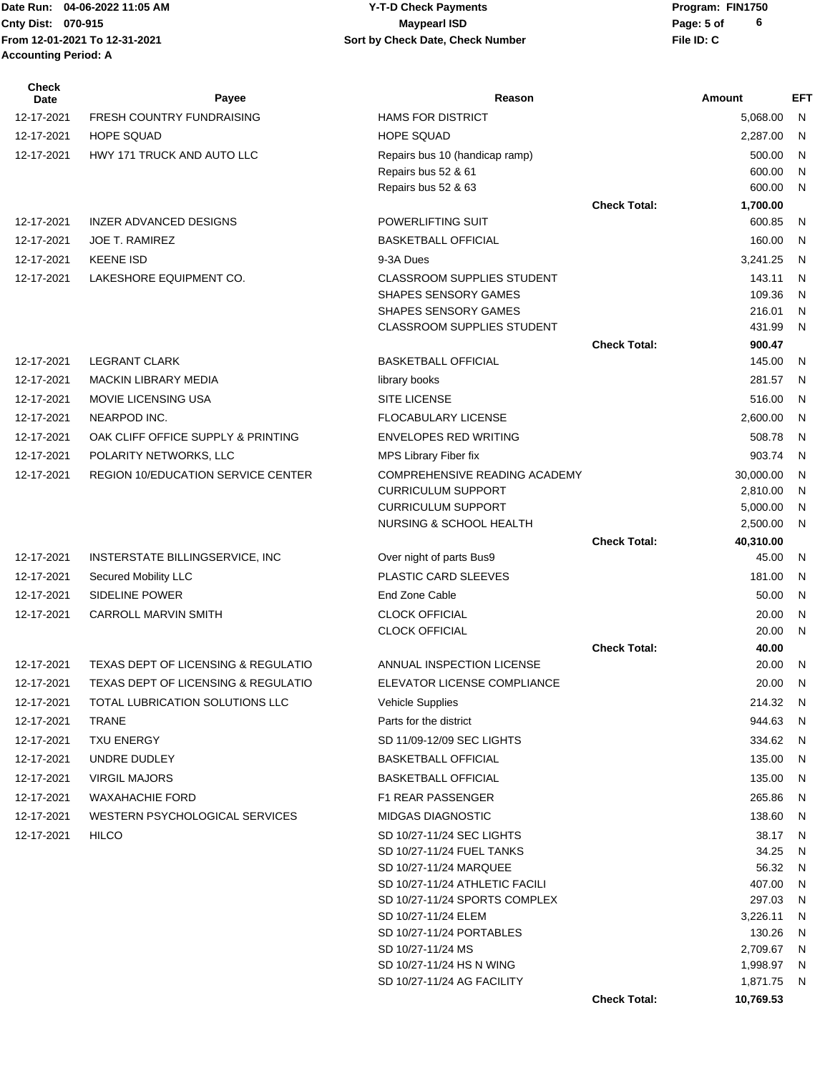**From 12-01-2021 To 12-31-2021 File ID: C Sort by Check Date, Check Number Accounting Period: A**

## Date Run: 04-06-2022 11:05 AM **CONTACT CONSTREY THE STATE OF PROGRAM** Y-T-D Check Payments **CONTACT PROGRAM: FIN1750 Cnty Dist:** 070-915 **Page:** 5 of **04-06-2022 11:05 AM Y-T-D Check Payments 070-915 Maypearl ISD**

| <b>Check</b><br>Date | Payee                                     | Reason                                                    |                     | <b>Amount</b>        | EFT                          |
|----------------------|-------------------------------------------|-----------------------------------------------------------|---------------------|----------------------|------------------------------|
| 12-17-2021           | <b>FRESH COUNTRY FUNDRAISING</b>          | <b>HAMS FOR DISTRICT</b>                                  |                     | 5,068.00             | N                            |
| 12-17-2021           | <b>HOPE SQUAD</b>                         | <b>HOPE SQUAD</b>                                         |                     | 2,287.00             | N                            |
| 12-17-2021           | HWY 171 TRUCK AND AUTO LLC                | Repairs bus 10 (handicap ramp)                            |                     | 500.00               | N                            |
|                      |                                           | Repairs bus 52 & 61                                       |                     | 600.00               | N                            |
|                      |                                           | Repairs bus 52 & 63                                       |                     | 600.00               | N                            |
|                      |                                           |                                                           | <b>Check Total:</b> | 1,700.00             |                              |
| 12-17-2021           | INZER ADVANCED DESIGNS                    | POWERLIFTING SUIT                                         |                     | 600.85               | N                            |
| 12-17-2021           | <b>JOE T. RAMIREZ</b>                     | <b>BASKETBALL OFFICIAL</b>                                |                     | 160.00               | N                            |
| 12-17-2021           | <b>KEENE ISD</b>                          | 9-3A Dues                                                 |                     | 3,241.25             | N                            |
| 12-17-2021           | LAKESHORE EQUIPMENT CO.                   | <b>CLASSROOM SUPPLIES STUDENT</b>                         |                     | 143.11               | N                            |
|                      |                                           | SHAPES SENSORY GAMES                                      |                     | 109.36               | N                            |
|                      |                                           | SHAPES SENSORY GAMES<br><b>CLASSROOM SUPPLIES STUDENT</b> |                     | 216.01<br>431.99     | N<br>N                       |
|                      |                                           |                                                           | <b>Check Total:</b> | 900.47               |                              |
| 12-17-2021           | <b>LEGRANT CLARK</b>                      | <b>BASKETBALL OFFICIAL</b>                                |                     | 145.00               | N                            |
| 12-17-2021           | <b>MACKIN LIBRARY MEDIA</b>               | library books                                             |                     | 281.57               | - N                          |
| 12-17-2021           | <b>MOVIE LICENSING USA</b>                | <b>SITE LICENSE</b>                                       |                     | 516.00               | N                            |
| 12-17-2021           | NEARPOD INC.                              | <b>FLOCABULARY LICENSE</b>                                |                     |                      | N                            |
|                      |                                           |                                                           |                     | 2,600.00             |                              |
| 12-17-2021           | OAK CLIFF OFFICE SUPPLY & PRINTING        | <b>ENVELOPES RED WRITING</b>                              |                     | 508.78               | N                            |
| 12-17-2021           | POLARITY NETWORKS, LLC                    | MPS Library Fiber fix                                     |                     | 903.74               | N                            |
| 12-17-2021           | <b>REGION 10/EDUCATION SERVICE CENTER</b> | COMPREHENSIVE READING ACADEMY                             |                     | 30,000.00            | $\mathsf{N}$                 |
|                      |                                           | <b>CURRICULUM SUPPORT</b><br><b>CURRICULUM SUPPORT</b>    |                     | 2,810.00<br>5,000.00 | $\mathsf{N}$<br>$\mathsf{N}$ |
|                      |                                           | NURSING & SCHOOL HEALTH                                   |                     | 2,500.00             | $\mathsf{N}$                 |
|                      |                                           |                                                           | <b>Check Total:</b> | 40,310.00            |                              |
| 12-17-2021           | INSTERSTATE BILLINGSERVICE, INC           | Over night of parts Bus9                                  |                     | 45.00                | $\mathsf{N}$                 |
| 12-17-2021           | Secured Mobility LLC                      | PLASTIC CARD SLEEVES                                      |                     | 181.00               | N                            |
| 12-17-2021           | SIDELINE POWER                            | End Zone Cable                                            |                     | 50.00                | N                            |
| 12-17-2021           | <b>CARROLL MARVIN SMITH</b>               | <b>CLOCK OFFICIAL</b>                                     |                     | 20.00                | N                            |
|                      |                                           | <b>CLOCK OFFICIAL</b>                                     |                     | 20.00                | $\mathsf{N}$                 |
|                      |                                           |                                                           | <b>Check Total:</b> | 40.00                |                              |
| 12-17-2021           | TEXAS DEPT OF LICENSING & REGULATIO       | ANNUAL INSPECTION LICENSE                                 |                     | 20.00                | N                            |
| 12-17-2021           | TEXAS DEPT OF LICENSING & REGULATIO       | <b>ELEVATOR LICENSE COMPLIANCE</b>                        |                     | 20.00                | N                            |
| 12-17-2021           | TOTAL LUBRICATION SOLUTIONS LLC           | <b>Vehicle Supplies</b>                                   |                     | 214.32               | - N                          |
| 12-17-2021           | <b>TRANE</b>                              | Parts for the district                                    |                     | 944.63               | N.                           |
| 12-17-2021           | <b>TXU ENERGY</b>                         | SD 11/09-12/09 SEC LIGHTS                                 |                     | 334.62               | N                            |
| 12-17-2021           | UNDRE DUDLEY                              | <b>BASKETBALL OFFICIAL</b>                                |                     | 135.00               | N                            |
| 12-17-2021           | <b>VIRGIL MAJORS</b>                      | <b>BASKETBALL OFFICIAL</b>                                |                     | 135.00               | N.                           |
| 12-17-2021           | <b>WAXAHACHIE FORD</b>                    | <b>F1 REAR PASSENGER</b>                                  |                     | 265.86               | N                            |
| 12-17-2021           | WESTERN PSYCHOLOGICAL SERVICES            | <b>MIDGAS DIAGNOSTIC</b>                                  |                     | 138.60               | N                            |
| 12-17-2021           | <b>HILCO</b>                              | SD 10/27-11/24 SEC LIGHTS                                 |                     | 38.17                | N                            |
|                      |                                           | SD 10/27-11/24 FUEL TANKS                                 |                     | 34.25                | N                            |
|                      |                                           | SD 10/27-11/24 MARQUEE                                    |                     | 56.32                | N                            |
|                      |                                           | SD 10/27-11/24 ATHLETIC FACILI                            |                     | 407.00               | N                            |
|                      |                                           | SD 10/27-11/24 SPORTS COMPLEX                             |                     | 297.03               | N                            |
|                      |                                           | SD 10/27-11/24 ELEM                                       |                     | 3,226.11             | N                            |
|                      |                                           | SD 10/27-11/24 PORTABLES                                  |                     | 130.26               | N                            |
|                      |                                           | SD 10/27-11/24 MS                                         |                     | 2,709.67             | N,                           |
|                      |                                           | SD 10/27-11/24 HS N WING                                  |                     | 1,998.97             | - N                          |
|                      |                                           | SD 10/27-11/24 AG FACILITY                                |                     | 1,871.75             | - N                          |
|                      |                                           |                                                           | <b>Check Total:</b> | 10,769.53            |                              |